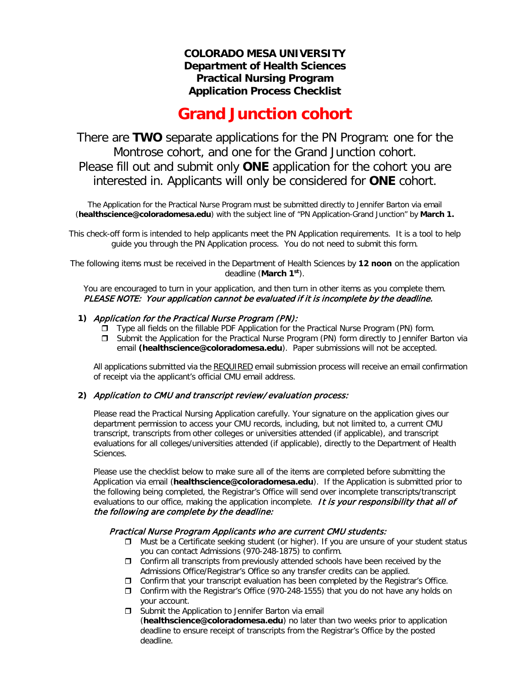### **COLORADO MESA UNIVERSITY Department of Health Sciences Practical Nursing Program Application Process Checklist**

# **Grand Junction cohort**

There are **TWO** separate applications for the PN Program: one for the Montrose cohort, and one for the Grand Junction cohort. Please fill out and submit only **ONE** application for the cohort you are interested in. Applicants will only be considered for **ONE** cohort.

The Application for the Practical Nurse Program must be submitted directly to Jennifer Barton via email (**[healthscience@coloradomesa.edu](mailto:rdphilli@coloradomesa.edu)**) with the subject line of "PN Application-Grand Junction" by **March 1.**

This check-off form is intended to help applicants meet the PN Application requirements. It is a tool to help guide you through the PN Application process. You do not need to submit this form.

The following items must be received in the Department of Health Sciences by **12 noon** on the application deadline (**March 1 st**).

You are encouraged to turn in your application, and then turn in other items as you complete them. PLEASE NOTE: Your application cannot be evaluated if it is incomplete by the deadline.

#### **1)** Application for the Practical Nurse Program (PN):

- Type all fields on the fillable PDF Application for the Practical Nurse Program (PN) form.
- Submit the Application for the Practical Nurse Program (PN) form directly to Jennifer Barton via email **[\(healthscience@coloradomesa.edu](mailto:rdphilli@coloradomesa.edu)**). Paper submissions will not be accepted.

All applications submitted via the REQUIRED email submission process will receive an email confirmation of receipt via the applicant's official CMU email address.

#### **2)** Application to CMU and transcript review/evaluation process:

Please read the Practical Nursing Application carefully. Your signature on the application gives our department permission to access your CMU records, including, but not limited to, a current CMU transcript, transcripts from other colleges or universities attended (if applicable), and transcript evaluations for all colleges/universities attended (if applicable), directly to the Department of Health Sciences.

Please use the checklist below to make sure all of the items are completed before submitting the Application via email (**[healthscience@coloradomesa.edu](mailto:rdphilli@coloradomesa.edu)**). If the Application is submitted prior to the following being completed, the Registrar's Office will send over incomplete transcripts/transcript evaluations to our office, making the application incomplete. It is your responsibility that all of the following are complete by the deadline:

#### Practical Nurse Program Applicants who are current CMU students:

- $\Box$  Must be a Certificate seeking student (or higher). If you are unsure of your student status you can contact Admissions (970-248-1875) to confirm.
- $\Box$  Confirm all transcripts from previously attended schools have been received by the Admissions Office/Registrar's Office so any transfer credits can be applied.
- $\Box$  Confirm that your transcript evaluation has been completed by the Registrar's Office.
- Confirm with the Registrar's Office (970-248-1555) that you do not have any holds on your account.
- $\square$  Submit the Application to Jennifer Barton via email (**[healthscience@coloradomesa.edu](mailto:rdphilli@coloradomesa.edu)**) no later than two weeks prior to application deadline to ensure receipt of transcripts from the Registrar's Office by the posted deadline.